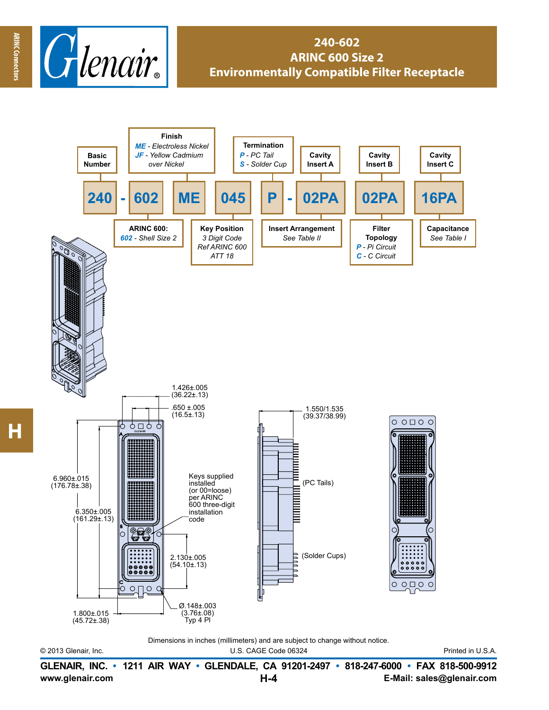

## **240-602 ARINC 600 Size 2 Environmentally Compatible Filter Receptacle**



© 2013 Glenair, Inc. U.S. CAGE Code 06324 Printed in U.S.A. Dimensions in inches (millimeters) and are subject to change without notice.

**www.glenair.com E-Mail: sales@glenair.com GLENAIR, INC. • 1211 AIR WAY • GLENDALE, CA 91201-2497 • 818-247-6000 • FAX 818-500-9912 H-4**